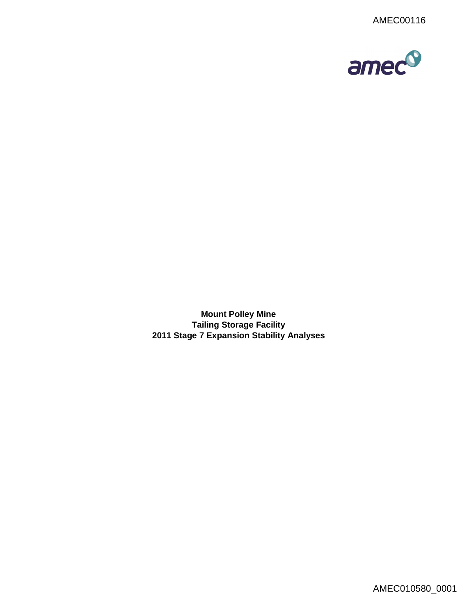

**Mount Polley Mine Tailing Storage Facility 2011 Stage 7 Expansion Stability Analyses**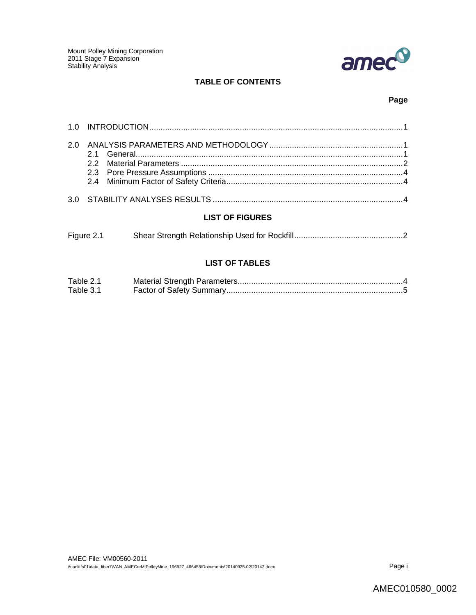

# **TABLE OF CONTENTS**

### **Page**

### **LIST OF FIGURES**

| Figure 2.1 |  |
|------------|--|
|            |  |

# **LIST OF TABLES**

| Table 2.1 |  |
|-----------|--|
| Table 3.1 |  |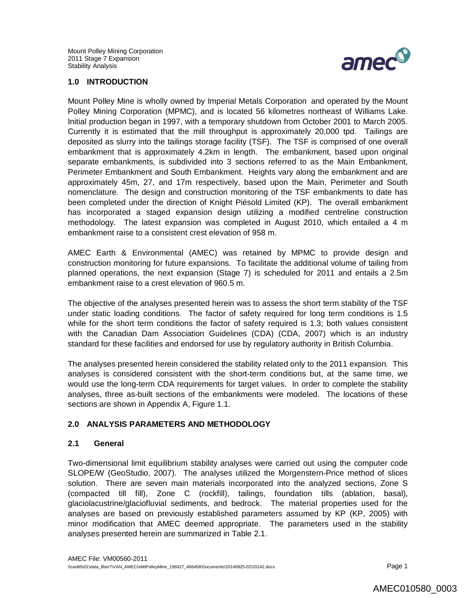

#### **1.0 INTRODUCTION**

Mount Polley Mine is wholly owned by Imperial Metals Corporation and operated by the Mount Polley Mining Corporation (MPMC), and is located 56 kilometres northeast of Williams Lake. Initial production began in 1997, with a temporary shutdown from October 2001 to March 2005. Currently it is estimated that the mill throughput is approximately 20,000 tpd. Tailings are deposited as slurry into the tailings storage facility (TSF). The TSF is comprised of one overall embankment that is approximately 4.2km in length. The embankment, based upon original separate embankments, is subdivided into 3 sections referred to as the Main Embankment, Perimeter Embankment and South Embankment. Heights vary along the embankment and are approximately 45m, 27, and 17m respectively, based upon the Main, Perimeter and South nomenclature. The design and construction monitoring of the TSF embankments to date has been completed under the direction of Knight Piésold Limited (KP). The overall embankment has incorporated a staged expansion design utilizing a modified centreline construction methodology. The latest expansion was completed in August 2010, which entailed a 4 m embankment raise to a consistent crest elevation of 958 m.

AMEC Earth & Environmental (AMEC) was retained by MPMC to provide design and construction monitoring for future expansions. To facilitate the additional volume of tailing from planned operations, the next expansion (Stage 7) is scheduled for 2011 and entails a 2.5m embankment raise to a crest elevation of 960.5 m.

The objective of the analyses presented herein was to assess the short term stability of the TSF under static loading conditions. The factor of safety required for long term conditions is 1.5 while for the short term conditions the factor of safety required is 1.3; both values consistent with the Canadian Dam Association Guidelines (CDA) (CDA, 2007) which is an industry standard for these facilities and endorsed for use by regulatory authority in British Columbia.

The analyses presented herein considered the stability related only to the 2011 expansion. This analyses is considered consistent with the short-term conditions but, at the same time, we would use the long-term CDA requirements for target values. In order to complete the stability analyses, three as-built sections of the embankments were modeled. The locations of these sections are shown in Appendix A, Figure 1.1.

#### **2.0 ANALYSIS PARAMETERS AND METHODOLOGY**

#### **2.1 General**

Two-dimensional limit equilibrium stability analyses were carried out using the computer code SLOPE/W (GeoStudio, 2007). The analyses utilized the Morgenstern-Price method of slices solution. There are seven main materials incorporated into the analyzed sections, Zone S (compacted till fill), Zone C (rockfill), tailings, foundation tills (ablation, basal), glaciolacustrine/glaciofluvial sediments, and bedrock. The material properties used for the analyses are based on previously established parameters assumed by KP (KP, 2005) with minor modification that AMEC deemed appropriate. The parameters used in the stability analyses presented herein are summarized in Table 2.1.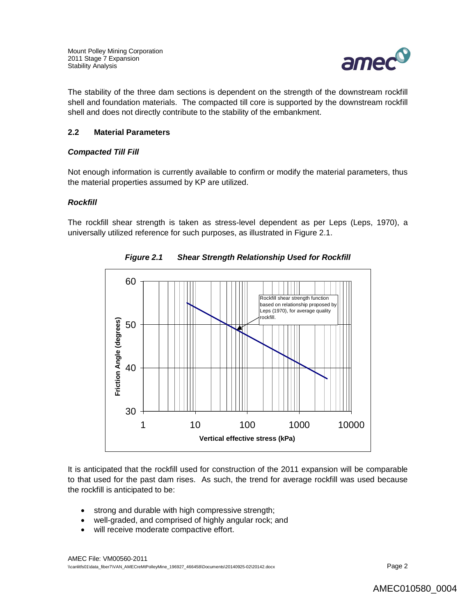

The stability of the three dam sections is dependent on the strength of the downstream rockfill shell and foundation materials. The compacted till core is supported by the downstream rockfill shell and does not directly contribute to the stability of the embankment.

### **2.2 Material Parameters**

### *Compacted Till Fill*

Not enough information is currently available to confirm or modify the material parameters, thus the material properties assumed by KP are utilized.

#### *Rockfill*

The rockfill shear strength is taken as stress-level dependent as per Leps (Leps, 1970), a universally utilized reference for such purposes, as illustrated in Figure 2.1.



*Figure 2.1 Shear Strength Relationship Used for Rockfill*

It is anticipated that the rockfill used for construction of the 2011 expansion will be comparable to that used for the past dam rises. As such, the trend for average rockfill was used because the rockfill is anticipated to be:

- strong and durable with high compressive strength;
- well-graded, and comprised of highly angular rock; and
- will receive moderate compactive effort.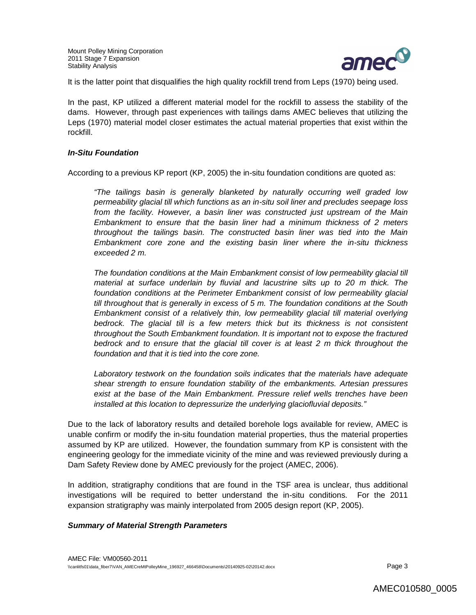

It is the latter point that disqualifies the high quality rockfill trend from Leps (1970) being used.

In the past, KP utilized a different material model for the rockfill to assess the stability of the dams. However, through past experiences with tailings dams AMEC believes that utilizing the Leps (1970) material model closer estimates the actual material properties that exist within the rockfill.

#### *In-Situ Foundation*

According to a previous KP report (KP, 2005) the in-situ foundation conditions are quoted as:

*"The tailings basin is generally blanketed by naturally occurring well graded low permeability glacial till which functions as an in-situ soil liner and precludes seepage loss from the facility. However, a basin liner was constructed just upstream of the Main Embankment to ensure that the basin liner had a minimum thickness of 2 meters throughout the tailings basin. The constructed basin liner was tied into the Main Embankment core zone and the existing basin liner where the in-situ thickness exceeded 2 m.*

The foundation conditions at the Main Embankment consist of low permeability glacial till *material at surface underlain by fluvial and lacustrine silts up to 20 m thick. The foundation conditions at the Perimeter Embankment consist of low permeability glacial till throughout that is generally in excess of 5 m. The foundation conditions at the South Embankment consist of a relatively thin, low permeability glacial till material overlying bedrock. The glacial till is a few meters thick but its thickness is not consistent throughout the South Embankment foundation. It is important not to expose the fractured bedrock and to ensure that the glacial till cover is at least 2 m thick throughout the foundation and that it is tied into the core zone.* 

*Laboratory testwork on the foundation soils indicates that the materials have adequate shear strength to ensure foundation stability of the embankments. Artesian pressures exist at the base of the Main Embankment. Pressure relief wells trenches have been installed at this location to depressurize the underlying glaciofluvial deposits."*

Due to the lack of laboratory results and detailed borehole logs available for review, AMEC is unable confirm or modify the in-situ foundation material properties, thus the material properties assumed by KP are utilized. However, the foundation summary from KP is consistent with the engineering geology for the immediate vicinity of the mine and was reviewed previously during a Dam Safety Review done by AMEC previously for the project (AMEC, 2006).

In addition, stratigraphy conditions that are found in the TSF area is unclear, thus additional investigations will be required to better understand the in-situ conditions. For the 2011 expansion stratigraphy was mainly interpolated from 2005 design report (KP, 2005).

#### *Summary of Material Strength Parameters*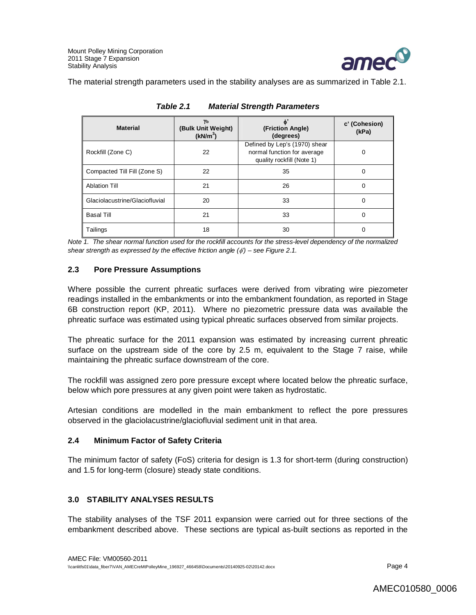

The material strength parameters used in the stability analyses are as summarized in Table 2.1.

| <b>Material</b>                | Yь<br>(Bulk Unit Weight)<br>(kN/m <sup>3</sup> ) | $\phi$<br>(Friction Angle)<br>(degrees)                                                   | c' (Cohesion)<br>(kPa) |
|--------------------------------|--------------------------------------------------|-------------------------------------------------------------------------------------------|------------------------|
| Rockfill (Zone C)              | 22                                               | Defined by Lep's (1970) shear<br>normal function for average<br>quality rockfill (Note 1) | ი                      |
| Compacted Till Fill (Zone S)   | 22                                               | 35                                                                                        | ი                      |
| <b>Ablation Till</b>           | 21                                               | 26                                                                                        | 0                      |
| Glaciolacustrine/Glaciofluvial | 20                                               | 33                                                                                        | 0                      |
| <b>Basal Till</b>              | 21                                               | 33                                                                                        | 0                      |
| Tailings                       | 18                                               | 30                                                                                        | o                      |

*Table 2.1 Material Strength Parameters*

*Note 1. The shear normal function used for the rockfill accounts for the stress-level dependency of the normalized shear strength as expressed by the effective friction angle (') – see Figure 2.1.* 

### **2.3 Pore Pressure Assumptions**

Where possible the current phreatic surfaces were derived from vibrating wire piezometer readings installed in the embankments or into the embankment foundation, as reported in Stage 6B construction report (KP, 2011). Where no piezometric pressure data was available the phreatic surface was estimated using typical phreatic surfaces observed from similar projects.

The phreatic surface for the 2011 expansion was estimated by increasing current phreatic surface on the upstream side of the core by 2.5 m, equivalent to the Stage 7 raise, while maintaining the phreatic surface downstream of the core.

The rockfill was assigned zero pore pressure except where located below the phreatic surface, below which pore pressures at any given point were taken as hydrostatic.

Artesian conditions are modelled in the main embankment to reflect the pore pressures observed in the glaciolacustrine/glaciofluvial sediment unit in that area.

#### **2.4 Minimum Factor of Safety Criteria**

The minimum factor of safety (FoS) criteria for design is 1.3 for short-term (during construction) and 1.5 for long-term (closure) steady state conditions.

## **3.0 STABILITY ANALYSES RESULTS**

The stability analyses of the TSF 2011 expansion were carried out for three sections of the embankment described above. These sections are typical as-built sections as reported in the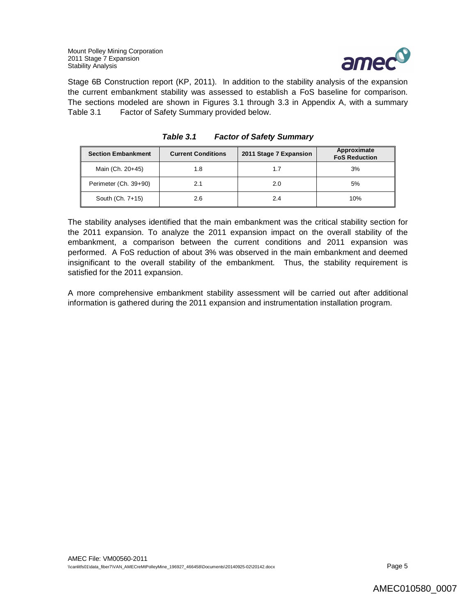Mount Polley Mining Corporation 2011 Stage 7 Expansion Stability Analysis



Stage 6B Construction report (KP, 2011). In addition to the stability analysis of the expansion the current embankment stability was assessed to establish a FoS baseline for comparison. The sections modeled are shown in Figures 3.1 through 3.3 in Appendix A, with a summary Table 3.1 Factor of Safety Summary provided below.

| <b>Section Embankment</b> | <b>Current Conditions</b> | 2011 Stage 7 Expansion | Approximate<br><b>FoS Reduction</b> |
|---------------------------|---------------------------|------------------------|-------------------------------------|
| Main (Ch. 20+45)          | 1.8                       | 1.7                    | 3%                                  |
| Perimeter (Ch. 39+90)     | 2.1                       | 2.0                    | 5%                                  |
| South (Ch. 7+15)          | 2.6                       | 2.4                    | 10%                                 |

| Table 3.1 | <b>Factor of Safety Summary</b> |  |
|-----------|---------------------------------|--|
|           |                                 |  |

The stability analyses identified that the main embankment was the critical stability section for the 2011 expansion. To analyze the 2011 expansion impact on the overall stability of the embankment, a comparison between the current conditions and 2011 expansion was performed. A FoS reduction of about 3% was observed in the main embankment and deemed insignificant to the overall stability of the embankment. Thus, the stability requirement is satisfied for the 2011 expansion.

A more comprehensive embankment stability assessment will be carried out after additional information is gathered during the 2011 expansion and instrumentation installation program.